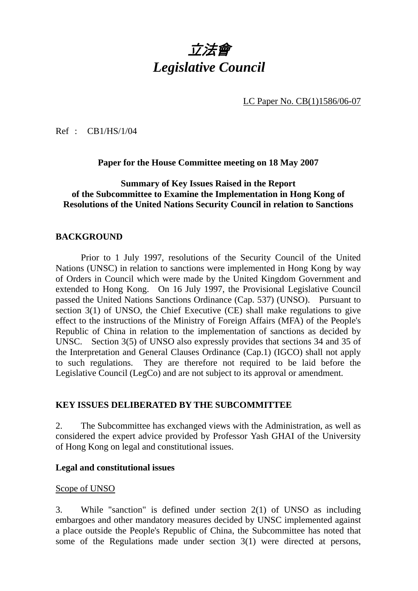# 立法會 *Legislative Council*

LC Paper No. CB(1)1586/06-07

Ref : CB1/HS/1/04

**Paper for the House Committee meeting on 18 May 2007** 

#### **Summary of Key Issues Raised in the Report of the Subcommittee to Examine the Implementation in Hong Kong of Resolutions of the United Nations Security Council in relation to Sanctions**

#### **BACKGROUND**

1. Prior to 1 July 1997, resolutions of the Security Council of the United Nations (UNSC) in relation to sanctions were implemented in Hong Kong by way of Orders in Council which were made by the United Kingdom Government and extended to Hong Kong. On 16 July 1997, the Provisional Legislative Council passed the United Nations Sanctions Ordinance (Cap. 537) (UNSO). Pursuant to section 3(1) of UNSO, the Chief Executive (CE) shall make regulations to give effect to the instructions of the Ministry of Foreign Affairs (MFA) of the People's Republic of China in relation to the implementation of sanctions as decided by UNSC. Section 3(5) of UNSO also expressly provides that sections 34 and 35 of the Interpretation and General Clauses Ordinance (Cap.1) (IGCO) shall not apply to such regulations. They are therefore not required to be laid before the Legislative Council (LegCo) and are not subject to its approval or amendment.

#### **KEY ISSUES DELIBERATED BY THE SUBCOMMITTEE**

2. The Subcommittee has exchanged views with the Administration, as well as considered the expert advice provided by Professor Yash GHAI of the University of Hong Kong on legal and constitutional issues.

#### **Legal and constitutional issues**

#### Scope of UNSO

3. While "sanction" is defined under section 2(1) of UNSO as including embargoes and other mandatory measures decided by UNSC implemented against a place outside the People's Republic of China, the Subcommittee has noted that some of the Regulations made under section 3(1) were directed at persons,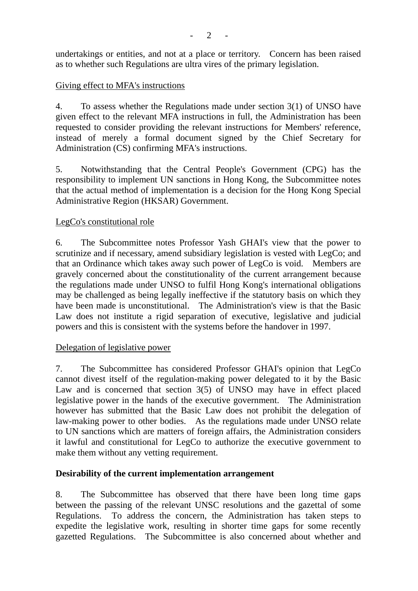undertakings or entities, and not at a place or territory. Concern has been raised as to whether such Regulations are ultra vires of the primary legislation.

## Giving effect to MFA's instructions

4. To assess whether the Regulations made under section 3(1) of UNSO have given effect to the relevant MFA instructions in full, the Administration has been requested to consider providing the relevant instructions for Members' reference, instead of merely a formal document signed by the Chief Secretary for Administration (CS) confirming MFA's instructions.

5. Notwithstanding that the Central People's Government (CPG) has the responsibility to implement UN sanctions in Hong Kong, the Subcommittee notes that the actual method of implementation is a decision for the Hong Kong Special Administrative Region (HKSAR) Government.

## LegCo's constitutional role

6. The Subcommittee notes Professor Yash GHAI's view that the power to scrutinize and if necessary, amend subsidiary legislation is vested with LegCo; and that an Ordinance which takes away such power of LegCo is void. Members are gravely concerned about the constitutionality of the current arrangement because the regulations made under UNSO to fulfil Hong Kong's international obligations may be challenged as being legally ineffective if the statutory basis on which they have been made is unconstitutional. The Administration's view is that the Basic Law does not institute a rigid separation of executive, legislative and judicial powers and this is consistent with the systems before the handover in 1997.

## Delegation of legislative power

7. The Subcommittee has considered Professor GHAI's opinion that LegCo cannot divest itself of the regulation-making power delegated to it by the Basic Law and is concerned that section 3(5) of UNSO may have in effect placed legislative power in the hands of the executive government. The Administration however has submitted that the Basic Law does not prohibit the delegation of law-making power to other bodies. As the regulations made under UNSO relate to UN sanctions which are matters of foreign affairs, the Administration considers it lawful and constitutional for LegCo to authorize the executive government to make them without any vetting requirement.

## **Desirability of the current implementation arrangement**

8. The Subcommittee has observed that there have been long time gaps between the passing of the relevant UNSC resolutions and the gazettal of some Regulations. To address the concern, the Administration has taken steps to expedite the legislative work, resulting in shorter time gaps for some recently gazetted Regulations. The Subcommittee is also concerned about whether and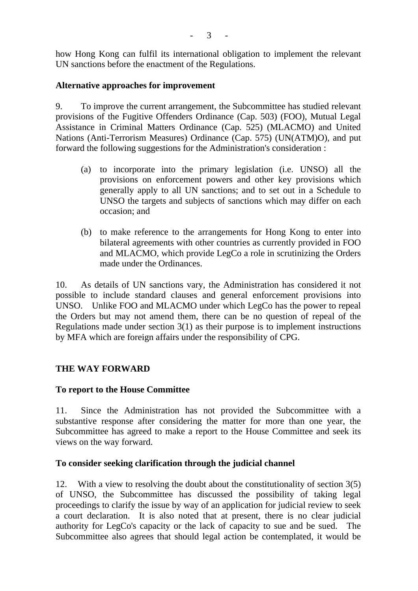how Hong Kong can fulfil its international obligation to implement the relevant UN sanctions before the enactment of the Regulations.

## **Alternative approaches for improvement**

9. To improve the current arrangement, the Subcommittee has studied relevant provisions of the Fugitive Offenders Ordinance (Cap. 503) (FOO), Mutual Legal Assistance in Criminal Matters Ordinance (Cap. 525) (MLACMO) and United Nations (Anti-Terrorism Measures) Ordinance (Cap. 575) (UN(ATM)O), and put forward the following suggestions for the Administration's consideration :

- (a) to incorporate into the primary legislation (i.e. UNSO) all the provisions on enforcement powers and other key provisions which generally apply to all UN sanctions; and to set out in a Schedule to UNSO the targets and subjects of sanctions which may differ on each occasion; and
- (b) to make reference to the arrangements for Hong Kong to enter into bilateral agreements with other countries as currently provided in FOO and MLACMO, which provide LegCo a role in scrutinizing the Orders made under the Ordinances.

10. As details of UN sanctions vary, the Administration has considered it not possible to include standard clauses and general enforcement provisions into UNSO. Unlike FOO and MLACMO under which LegCo has the power to repeal the Orders but may not amend them, there can be no question of repeal of the Regulations made under section 3(1) as their purpose is to implement instructions by MFA which are foreign affairs under the responsibility of CPG.

## **THE WAY FORWARD**

## **To report to the House Committee**

11. Since the Administration has not provided the Subcommittee with a substantive response after considering the matter for more than one year, the Subcommittee has agreed to make a report to the House Committee and seek its views on the way forward.

## **To consider seeking clarification through the judicial channel**

12. With a view to resolving the doubt about the constitutionality of section 3(5) of UNSO, the Subcommittee has discussed the possibility of taking legal proceedings to clarify the issue by way of an application for judicial review to seek a court declaration. It is also noted that at present, there is no clear judicial authority for LegCo's capacity or the lack of capacity to sue and be sued. The Subcommittee also agrees that should legal action be contemplated, it would be